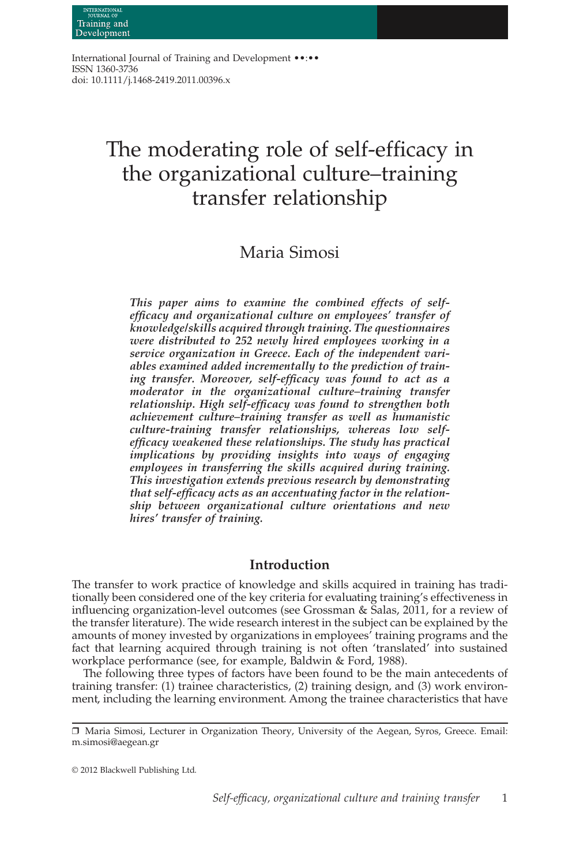International Journal of Training and Development ••:•• ISSN 1360-3736 doi: 10.1111/j.1468-2419.2011.00396.x

# The moderating role of self-efficacy in the organizational culture–training transfer relationship

# Maria Simosi

*This paper aims to examine the combined effects of selfefficacy and organizational culture on employees' transfer of knowledge/skills acquired through training. The questionnaires were distributed to 252 newly hired employees working in a service organization in Greece. Each of the independent variables examined added incrementally to the prediction of training transfer. Moreover, self-efficacy was found to act as a moderator in the organizational culture–training transfer relationship. High self-efficacy was found to strengthen both achievement culture–training transfer as well as humanistic culture-training transfer relationships, whereas low selfefficacy weakened these relationships. The study has practical implications by providing insights into ways of engaging employees in transferring the skills acquired during training. This investigation extends previous research by demonstrating that self-efficacy acts as an accentuating factor in the relationship between organizational culture orientations and new hires' transfer of training.*

# **Introduction**

The transfer to work practice of knowledge and skills acquired in training has traditionally been considered one of the key criteria for evaluating training's effectiveness in influencing organization-level outcomes (see Grossman & Salas, 2011, for a review of the transfer literature). The wide research interest in the subject can be explained by the amounts of money invested by organizations in employees' training programs and the fact that learning acquired through training is not often 'translated' into sustained workplace performance (see, for example, Baldwin & Ford, 1988).

The following three types of factors have been found to be the main antecedents of training transfer: (1) trainee characteristics, (2) training design, and (3) work environment, including the learning environment. Among the trainee characteristics that have

© 2012 Blackwell Publishing Ltd.

<sup>❒</sup> Maria Simosi, Lecturer in Organization Theory, University of the Aegean, Syros, Greece. Email: m.simosi@aegean.gr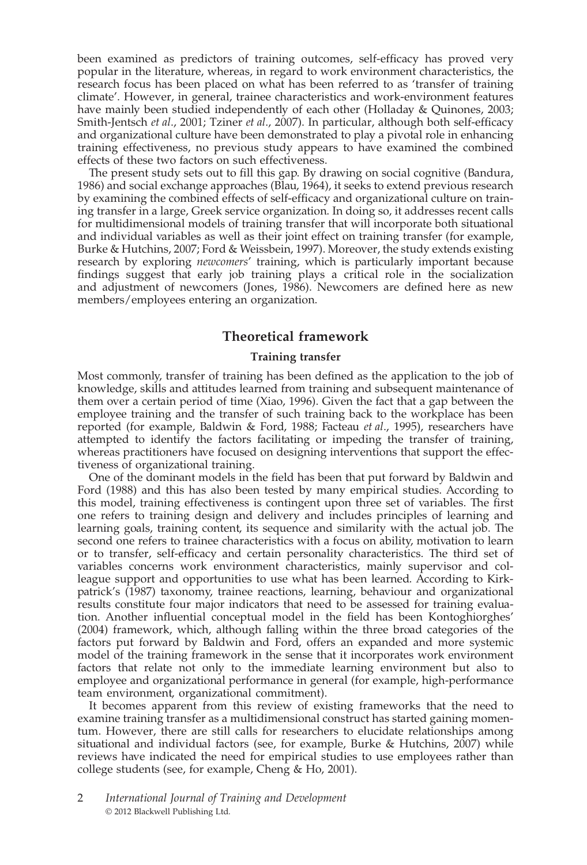been examined as predictors of training outcomes, self-efficacy has proved very popular in the literature, whereas, in regard to work environment characteristics, the research focus has been placed on what has been referred to as 'transfer of training climate'. However, in general, trainee characteristics and work-environment features have mainly been studied independently of each other (Holladay & Quinones, 2003; Smith-Jentsch *et al*., 2001; Tziner *et al*., 2007). In particular, although both self-efficacy and organizational culture have been demonstrated to play a pivotal role in enhancing training effectiveness, no previous study appears to have examined the combined effects of these two factors on such effectiveness.

The present study sets out to fill this gap. By drawing on social cognitive (Bandura, 1986) and social exchange approaches (Blau, 1964), it seeks to extend previous research by examining the combined effects of self-efficacy and organizational culture on training transfer in a large, Greek service organization. In doing so, it addresses recent calls for multidimensional models of training transfer that will incorporate both situational and individual variables as well as their joint effect on training transfer (for example, Burke & Hutchins, 2007; Ford & Weissbein, 1997). Moreover, the study extends existing research by exploring *newcomers*' training, which is particularly important because findings suggest that early job training plays a critical role in the socialization and adjustment of newcomers (Jones, 1986). Newcomers are defined here as new members/employees entering an organization.

## **Theoretical framework**

#### **Training transfer**

Most commonly, transfer of training has been defined as the application to the job of knowledge, skills and attitudes learned from training and subsequent maintenance of them over a certain period of time (Xiao, 1996). Given the fact that a gap between the employee training and the transfer of such training back to the workplace has been reported (for example, Baldwin & Ford, 1988; Facteau *et al*., 1995), researchers have attempted to identify the factors facilitating or impeding the transfer of training, whereas practitioners have focused on designing interventions that support the effectiveness of organizational training.

One of the dominant models in the field has been that put forward by Baldwin and Ford (1988) and this has also been tested by many empirical studies. According to this model, training effectiveness is contingent upon three set of variables. The first one refers to training design and delivery and includes principles of learning and learning goals, training content, its sequence and similarity with the actual job. The second one refers to trainee characteristics with a focus on ability, motivation to learn or to transfer, self-efficacy and certain personality characteristics. The third set of variables concerns work environment characteristics, mainly supervisor and colleague support and opportunities to use what has been learned. According to Kirkpatrick's (1987) taxonomy, trainee reactions, learning, behaviour and organizational results constitute four major indicators that need to be assessed for training evaluation. Another influential conceptual model in the field has been Kontoghiorghes' (2004) framework, which, although falling within the three broad categories of the factors put forward by Baldwin and Ford, offers an expanded and more systemic model of the training framework in the sense that it incorporates work environment factors that relate not only to the immediate learning environment but also to employee and organizational performance in general (for example, high-performance team environment, organizational commitment).

It becomes apparent from this review of existing frameworks that the need to examine training transfer as a multidimensional construct has started gaining momentum. However, there are still calls for researchers to elucidate relationships among situational and individual factors (see, for example, Burke & Hutchins, 2007) while reviews have indicated the need for empirical studies to use employees rather than college students (see, for example, Cheng & Ho, 2001).

<sup>2</sup> *International Journal of Training and Development* © 2012 Blackwell Publishing Ltd.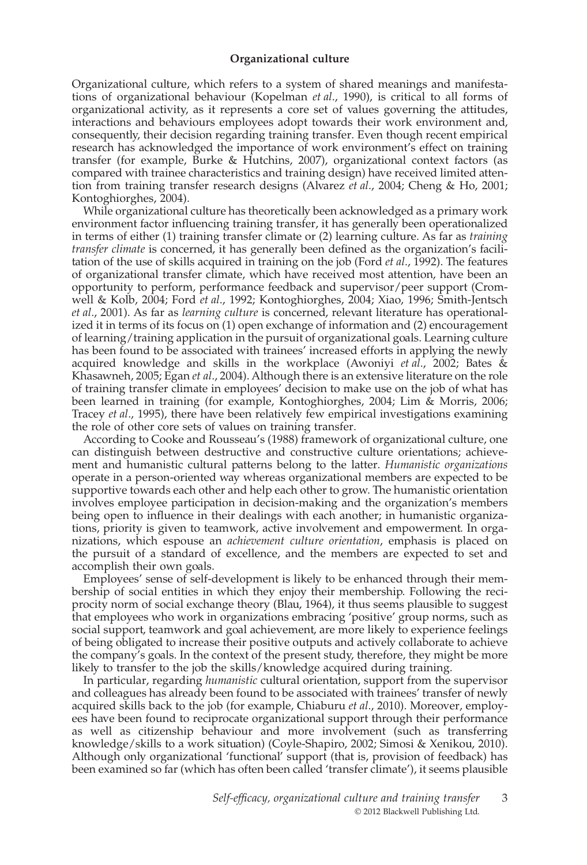#### **Organizational culture**

Organizational culture, which refers to a system of shared meanings and manifestations of organizational behaviour (Kopelman *et al*., 1990), is critical to all forms of organizational activity, as it represents a core set of values governing the attitudes, interactions and behaviours employees adopt towards their work environment and, consequently, their decision regarding training transfer. Even though recent empirical research has acknowledged the importance of work environment's effect on training transfer (for example, Burke & Hutchins, 2007), organizational context factors (as compared with trainee characteristics and training design) have received limited attention from training transfer research designs (Alvarez *et al*., 2004; Cheng & Ho, 2001; Kontoghiorghes, 2004).

While organizational culture has theoretically been acknowledged as a primary work environment factor influencing training transfer, it has generally been operationalized in terms of either (1) training transfer climate or (2) learning culture. As far as *training transfer climate* is concerned, it has generally been defined as the organization's facilitation of the use of skills acquired in training on the job (Ford *et al*., 1992). The features of organizational transfer climate, which have received most attention, have been an opportunity to perform, performance feedback and supervisor/peer support (Cromwell & Kolb, 2004; Ford *et al*., 1992; Kontoghiorghes, 2004; Xiao, 1996; Smith-Jentsch *et al*., 2001). As far as *learning culture* is concerned, relevant literature has operationalized it in terms of its focus on (1) open exchange of information and (2) encouragement of learning/training application in the pursuit of organizational goals. Learning culture has been found to be associated with trainees' increased efforts in applying the newly acquired knowledge and skills in the workplace (Awoniyi *et al*., 2002; Bates & Khasawneh, 2005; Egan *et al*., 2004). Although there is an extensive literature on the role of training transfer climate in employees' decision to make use on the job of what has been learned in training (for example, Kontoghiorghes, 2004; Lim & Morris, 2006; Tracey *et al*., 1995), there have been relatively few empirical investigations examining the role of other core sets of values on training transfer.

According to Cooke and Rousseau's (1988) framework of organizational culture, one can distinguish between destructive and constructive culture orientations; achievement and humanistic cultural patterns belong to the latter. *Humanistic organizations* operate in a person-oriented way whereas organizational members are expected to be supportive towards each other and help each other to grow. The humanistic orientation involves employee participation in decision-making and the organization's members being open to influence in their dealings with each another; in humanistic organizations, priority is given to teamwork, active involvement and empowerment. In organizations, which espouse an *achievement culture orientation*, emphasis is placed on the pursuit of a standard of excellence, and the members are expected to set and accomplish their own goals.

Employees' sense of self-development is likely to be enhanced through their membership of social entities in which they enjoy their membership. Following the reciprocity norm of social exchange theory (Blau, 1964), it thus seems plausible to suggest that employees who work in organizations embracing 'positive' group norms, such as social support, teamwork and goal achievement, are more likely to experience feelings of being obligated to increase their positive outputs and actively collaborate to achieve the company's goals. In the context of the present study, therefore, they might be more likely to transfer to the job the skills/knowledge acquired during training.

In particular, regarding *humanistic* cultural orientation, support from the supervisor and colleagues has already been found to be associated with trainees' transfer of newly acquired skills back to the job (for example, Chiaburu *et al*., 2010). Moreover, employees have been found to reciprocate organizational support through their performance as well as citizenship behaviour and more involvement (such as transferring knowledge/skills to a work situation) (Coyle-Shapiro, 2002; Simosi & Xenikou, 2010). Although only organizational 'functional' support (that is, provision of feedback) has been examined so far (which has often been called 'transfer climate'), it seems plausible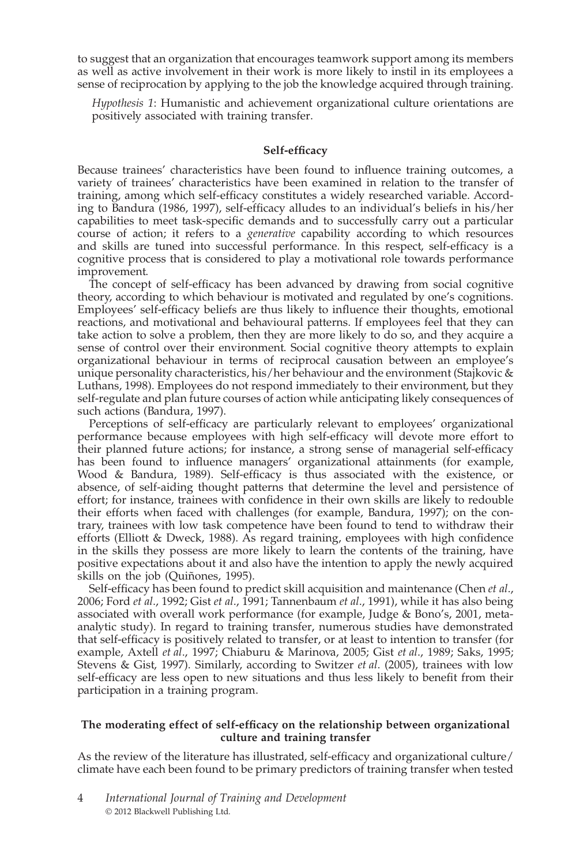to suggest that an organization that encourages teamwork support among its members as well as active involvement in their work is more likely to instil in its employees a sense of reciprocation by applying to the job the knowledge acquired through training.

*Hypothesis 1*: Humanistic and achievement organizational culture orientations are positively associated with training transfer.

#### **Self-efficacy**

Because trainees' characteristics have been found to influence training outcomes, a variety of trainees' characteristics have been examined in relation to the transfer of training, among which self-efficacy constitutes a widely researched variable. According to Bandura (1986, 1997), self-efficacy alludes to an individual's beliefs in his/her capabilities to meet task-specific demands and to successfully carry out a particular course of action; it refers to a *generative* capability according to which resources and skills are tuned into successful performance. In this respect, self-efficacy is a cognitive process that is considered to play a motivational role towards performance improvement.

The concept of self-efficacy has been advanced by drawing from social cognitive theory, according to which behaviour is motivated and regulated by one's cognitions. Employees' self-efficacy beliefs are thus likely to influence their thoughts, emotional reactions, and motivational and behavioural patterns. If employees feel that they can take action to solve a problem, then they are more likely to do so, and they acquire a sense of control over their environment. Social cognitive theory attempts to explain organizational behaviour in terms of reciprocal causation between an employee's unique personality characteristics, his/her behaviour and the environment (Stajkovic & Luthans, 1998). Employees do not respond immediately to their environment, but they self-regulate and plan future courses of action while anticipating likely consequences of such actions (Bandura, 1997).

Perceptions of self-efficacy are particularly relevant to employees' organizational performance because employees with high self-efficacy will devote more effort to their planned future actions; for instance, a strong sense of managerial self-efficacy has been found to influence managers' organizational attainments (for example, Wood & Bandura, 1989). Self-efficacy is thus associated with the existence, or absence, of self-aiding thought patterns that determine the level and persistence of effort; for instance, trainees with confidence in their own skills are likely to redouble their efforts when faced with challenges (for example, Bandura, 1997); on the contrary, trainees with low task competence have been found to tend to withdraw their efforts (Elliott & Dweck, 1988). As regard training, employees with high confidence in the skills they possess are more likely to learn the contents of the training, have positive expectations about it and also have the intention to apply the newly acquired skills on the job (Quiñones, 1995).

Self-efficacy has been found to predict skill acquisition and maintenance (Chen *et al*., 2006; Ford *et al*., 1992; Gist *et al*., 1991; Tannenbaum *et al*., 1991), while it has also being associated with overall work performance (for example, Judge & Bono's, 2001, metaanalytic study). In regard to training transfer, numerous studies have demonstrated that self-efficacy is positively related to transfer, or at least to intention to transfer (for example, Axtell *et al*., 1997; Chiaburu & Marinova, 2005; Gist *et al*., 1989; Saks, 1995; Stevens & Gist, 1997). Similarly, according to Switzer *et al*. (2005), trainees with low self-efficacy are less open to new situations and thus less likely to benefit from their participation in a training program.

#### **The moderating effect of self-efficacy on the relationship between organizational culture and training transfer**

As the review of the literature has illustrated, self-efficacy and organizational culture/ climate have each been found to be primary predictors of training transfer when tested

<sup>4</sup> *International Journal of Training and Development* © 2012 Blackwell Publishing Ltd.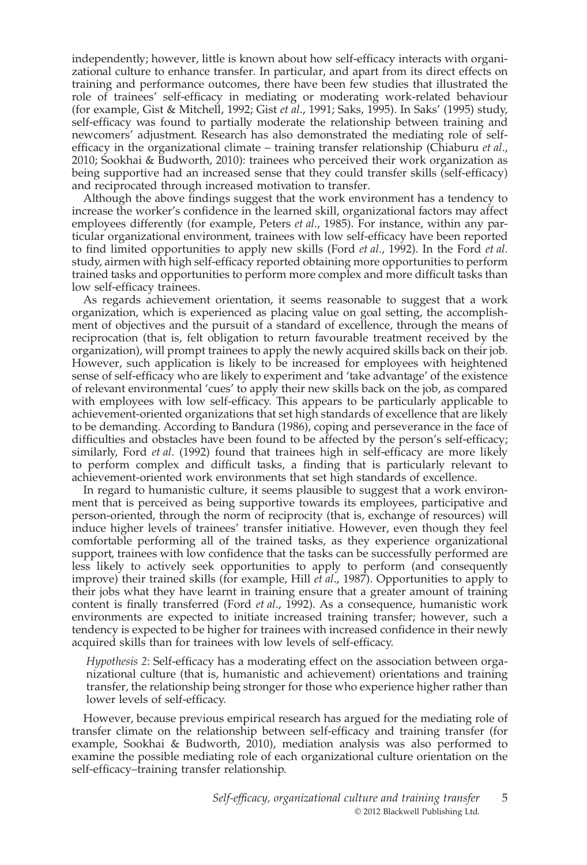independently; however, little is known about how self-efficacy interacts with organizational culture to enhance transfer. In particular, and apart from its direct effects on training and performance outcomes, there have been few studies that illustrated the role of trainees' self-efficacy in mediating or moderating work-related behaviour (for example, Gist & Mitchell, 1992; Gist *et al*., 1991; Saks, 1995). In Saks' (1995) study, self-efficacy was found to partially moderate the relationship between training and newcomers' adjustment. Research has also demonstrated the mediating role of selfefficacy in the organizational climate – training transfer relationship (Chiaburu *et al*., 2010; Sookhai & Budworth, 2010): trainees who perceived their work organization as being supportive had an increased sense that they could transfer skills (self-efficacy) and reciprocated through increased motivation to transfer.

Although the above findings suggest that the work environment has a tendency to increase the worker's confidence in the learned skill, organizational factors may affect employees differently (for example, Peters *et al*., 1985). For instance, within any particular organizational environment, trainees with low self-efficacy have been reported to find limited opportunities to apply new skills (Ford *et al*., 1992). In the Ford *et al*. study, airmen with high self-efficacy reported obtaining more opportunities to perform trained tasks and opportunities to perform more complex and more difficult tasks than low self-efficacy trainees.

As regards achievement orientation, it seems reasonable to suggest that a work organization, which is experienced as placing value on goal setting, the accomplishment of objectives and the pursuit of a standard of excellence, through the means of reciprocation (that is, felt obligation to return favourable treatment received by the organization), will prompt trainees to apply the newly acquired skills back on their job. However, such application is likely to be increased for employees with heightened sense of self-efficacy who are likely to experiment and 'take advantage' of the existence of relevant environmental 'cues' to apply their new skills back on the job, as compared with employees with low self-efficacy. This appears to be particularly applicable to achievement-oriented organizations that set high standards of excellence that are likely to be demanding. According to Bandura (1986), coping and perseverance in the face of difficulties and obstacles have been found to be affected by the person's self-efficacy; similarly, Ford *et al*. (1992) found that trainees high in self-efficacy are more likely to perform complex and difficult tasks, a finding that is particularly relevant to achievement-oriented work environments that set high standards of excellence.

In regard to humanistic culture, it seems plausible to suggest that a work environment that is perceived as being supportive towards its employees, participative and person-oriented, through the norm of reciprocity (that is, exchange of resources) will induce higher levels of trainees' transfer initiative. However, even though they feel comfortable performing all of the trained tasks, as they experience organizational support, trainees with low confidence that the tasks can be successfully performed are less likely to actively seek opportunities to apply to perform (and consequently improve) their trained skills (for example, Hill *et al*., 1987). Opportunities to apply to their jobs what they have learnt in training ensure that a greater amount of training content is finally transferred (Ford *et al*., 1992). As a consequence, humanistic work environments are expected to initiate increased training transfer; however, such a tendency is expected to be higher for trainees with increased confidence in their newly acquired skills than for trainees with low levels of self-efficacy.

*Hypothesis 2*: Self-efficacy has a moderating effect on the association between organizational culture (that is, humanistic and achievement) orientations and training transfer, the relationship being stronger for those who experience higher rather than lower levels of self-efficacy.

However, because previous empirical research has argued for the mediating role of transfer climate on the relationship between self-efficacy and training transfer (for example, Sookhai & Budworth, 2010), mediation analysis was also performed to examine the possible mediating role of each organizational culture orientation on the self-efficacy–training transfer relationship.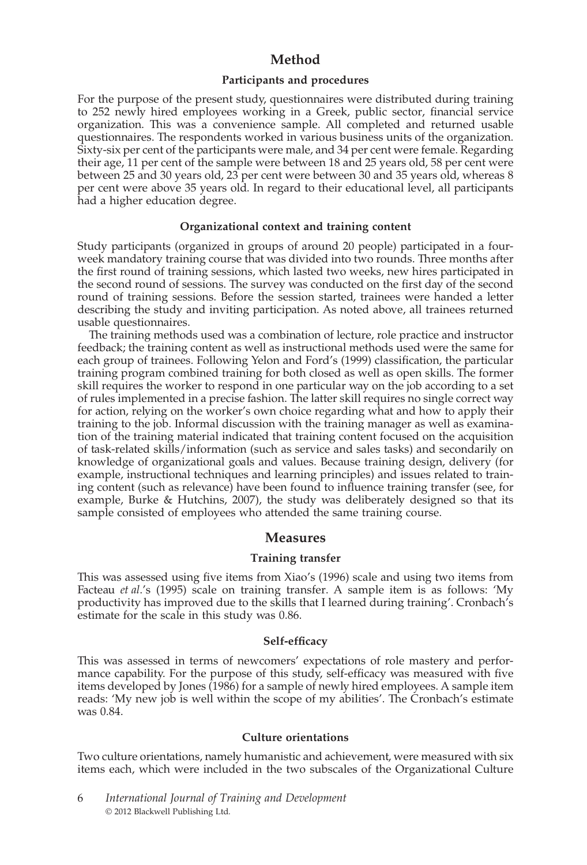# **Method**

#### **Participants and procedures**

For the purpose of the present study, questionnaires were distributed during training to 252 newly hired employees working in a Greek, public sector, financial service organization. This was a convenience sample. All completed and returned usable questionnaires. The respondents worked in various business units of the organization. Sixty-six per cent of the participants were male, and 34 per cent were female. Regarding their age, 11 per cent of the sample were between 18 and 25 years old, 58 per cent were between 25 and 30 years old, 23 per cent were between 30 and 35 years old, whereas 8 per cent were above 35 years old. In regard to their educational level, all participants had a higher education degree.

#### **Organizational context and training content**

Study participants (organized in groups of around 20 people) participated in a fourweek mandatory training course that was divided into two rounds. Three months after the first round of training sessions, which lasted two weeks, new hires participated in the second round of sessions. The survey was conducted on the first day of the second round of training sessions. Before the session started, trainees were handed a letter describing the study and inviting participation. As noted above, all trainees returned usable questionnaires.

The training methods used was a combination of lecture, role practice and instructor feedback; the training content as well as instructional methods used were the same for each group of trainees. Following Yelon and Ford's (1999) classification, the particular training program combined training for both closed as well as open skills. The former skill requires the worker to respond in one particular way on the job according to a set of rules implemented in a precise fashion. The latter skill requires no single correct way for action, relying on the worker's own choice regarding what and how to apply their training to the job. Informal discussion with the training manager as well as examination of the training material indicated that training content focused on the acquisition of task-related skills/information (such as service and sales tasks) and secondarily on knowledge of organizational goals and values. Because training design, delivery (for example, instructional techniques and learning principles) and issues related to training content (such as relevance) have been found to influence training transfer (see, for example, Burke & Hutchins, 2007), the study was deliberately designed so that its sample consisted of employees who attended the same training course.

# **Measures**

#### **Training transfer**

This was assessed using five items from Xiao's (1996) scale and using two items from Facteau *et al*.'s (1995) scale on training transfer. A sample item is as follows: 'My productivity has improved due to the skills that I learned during training'. Cronbach's estimate for the scale in this study was 0.86.

#### **Self-efficacy**

This was assessed in terms of newcomers' expectations of role mastery and performance capability. For the purpose of this study, self-efficacy was measured with five items developed by Jones (1986) for a sample of newly hired employees. A sample item reads: 'My new job is well within the scope of my abilities'. The Cronbach's estimate was 0.84.

#### **Culture orientations**

Two culture orientations, namely humanistic and achievement, were measured with six items each, which were included in the two subscales of the Organizational Culture

<sup>6</sup> *International Journal of Training and Development* © 2012 Blackwell Publishing Ltd.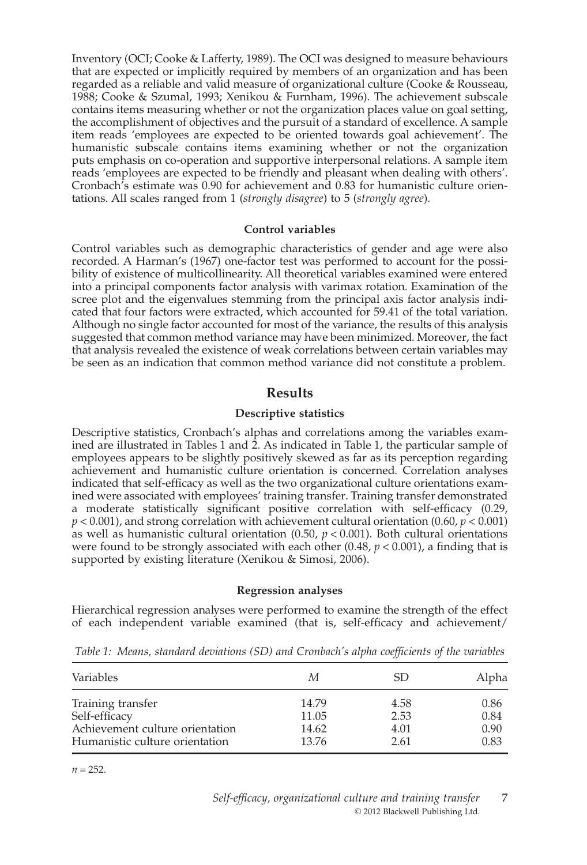Inventory (OCI; Cooke & Lafferty, 1989). The OCI was designed to measure behaviours that are expected or implicitly required by members of an organization and has been regarded as a reliable and valid measure of organizational culture (Cooke & Rousseau, 1988; Cooke & Szumal, 1993; Xenikou & Furnham, 1996). The achievement subscale contains items measuring whether or not the organization places value on goal setting, the accomplishment of objectives and the pursuit of a standard of excellence. A sample item reads 'employees are expected to be oriented towards goal achievement'. The humanistic subscale contains items examining whether or not the organization puts emphasis on co-operation and supportive interpersonal relations. A sample item reads 'employees are expected to be friendly and pleasant when dealing with others'. Cronbach's estimate was 0.90 for achievement and 0.83 for humanistic culture orientations. All scales ranged from 1 (*strongly disagree*) to 5 (*strongly agree*).

#### **Control variables**

Control variables such as demographic characteristics of gender and age were also recorded. A Harman's (1967) one-factor test was performed to account for the possibility of existence of multicollinearity. All theoretical variables examined were entered into a principal components factor analysis with varimax rotation. Examination of the scree plot and the eigenvalues stemming from the principal axis factor analysis indicated that four factors were extracted, which accounted for 59.41 of the total variation. Although no single factor accounted for most of the variance, the results of this analysis suggested that common method variance may have been minimized. Moreover, the fact that analysis revealed the existence of weak correlations between certain variables may be seen as an indication that common method variance did not constitute a problem.

### **Results**

# **Descriptive statistics**

Descriptive statistics, Cronbach's alphas and correlations among the variables examined are illustrated in Tables 1 and 2. As indicated in Table 1, the particular sample of employees appears to be slightly positively skewed as far as its perception regarding achievement and humanistic culture orientation is concerned. Correlation analyses indicated that self-efficacy as well as the two organizational culture orientations examined were associated with employees' training transfer. Training transfer demonstrated a moderate statistically significant positive correlation with self-efficacy (0.29, *p* < 0.001), and strong correlation with achievement cultural orientation (0.60, *p* < 0.001) as well as humanistic cultural orientation (0.50, *p* < 0.001). Both cultural orientations were found to be strongly associated with each other  $(0.48, p < 0.001)$ , a finding that is supported by existing literature (Xenikou & Simosi, 2006).

#### **Regression analyses**

Hierarchical regression analyses were performed to examine the strength of the effect of each independent variable examined (that is, self-efficacy and achievement/

| Variables                       | М     | SD.  | Alpha |
|---------------------------------|-------|------|-------|
| Training transfer               | 14.79 | 4.58 | 0.86  |
| Self-efficacy                   | 11.05 | 2.53 | 0.84  |
| Achievement culture orientation | 14.62 | 4.01 | 0.90  |
| Humanistic culture orientation  | 13.76 | 2.61 | 0.83  |

*Table 1: Means, standard deviations (SD) and Cronbach's alpha coefficients of the variables*

 $n = 252$ .

*Self-efficacy, organizational culture and training transfer* 7 © 2012 Blackwell Publishing Ltd.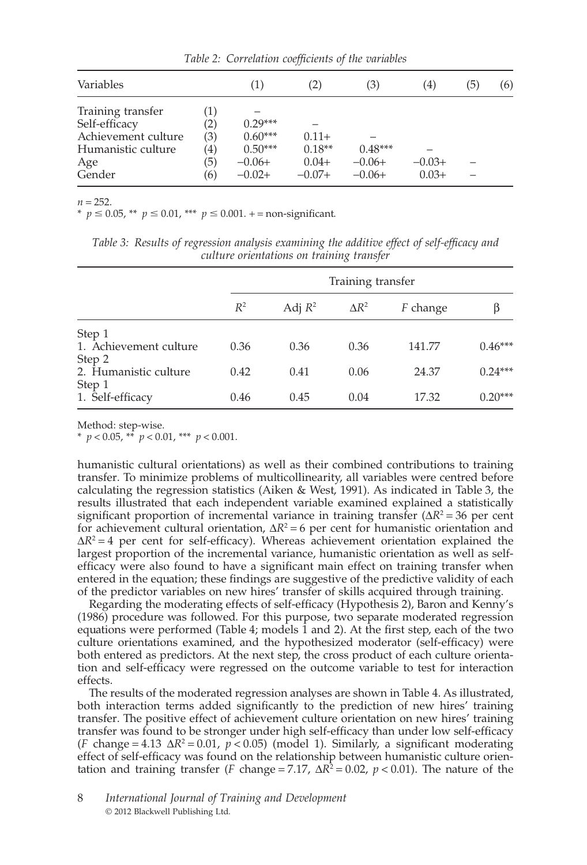| Variables                                                                                        |                                                                   | (1)                                                         | (2)                                        | (3)                               | $\left( 4\right)$   | (5) | (6) |
|--------------------------------------------------------------------------------------------------|-------------------------------------------------------------------|-------------------------------------------------------------|--------------------------------------------|-----------------------------------|---------------------|-----|-----|
| Training transfer<br>Self-efficacy<br>Achievement culture<br>Humanistic culture<br>Age<br>Gender | $\left(1\right)$<br>(2)<br>(3)<br>$\left( 4\right)$<br>(5)<br>(6) | $0.29***$<br>$0.60***$<br>$0.50***$<br>$-0.06+$<br>$-0.02+$ | $0.11+$<br>$0.18**$<br>$0.04+$<br>$-0.07+$ | $0.48***$<br>$-0.06+$<br>$-0.06+$ | $-0.03+$<br>$0.03+$ |     |     |

*Table 2: Correlation coefficients of the variables*

 $n = 252$ .

\*  $p \le 0.05$ , \*\*  $p \le 0.01$ , \*\*\*  $p \le 0.001$ . + = non-significant.

*Table 3: Results of regression analysis examining the additive effect of self-efficacy and culture orientations on training transfer*

|                                  | Training transfer |           |              |          |           |  |
|----------------------------------|-------------------|-----------|--------------|----------|-----------|--|
|                                  | $R^2$             | Adj $R^2$ | $\Delta R^2$ | F change | ß         |  |
| Step 1                           |                   |           |              |          |           |  |
| 1. Achievement culture<br>Step 2 | 0.36              | 0.36      | 0.36         | 141.77   | $0.46***$ |  |
| 2. Humanistic culture            | 0.42              | 0.41      | 0.06         | 24.37    | $0.24***$ |  |
| Step 1<br>1. Self-efficacy       | 0.46              | 0.45      | 0.04         | 17.32    | $0.20***$ |  |

Method: step-wise.

\*  $p < 0.05$ , \*\*  $p < 0.01$ , \*\*\*  $p < 0.001$ .

humanistic cultural orientations) as well as their combined contributions to training transfer. To minimize problems of multicollinearity, all variables were centred before calculating the regression statistics (Aiken & West, 1991). As indicated in Table 3, the results illustrated that each independent variable examined explained a statistically significant proportion of incremental variance in training transfer  $(\Delta R^2 = 36$  per cent for achievement cultural orientation,  $\Delta R^2 = 6$  per cent for humanistic orientation and  $\Delta R^2 = 4$  per cent for self-efficacy). Whereas achievement orientation explained the largest proportion of the incremental variance, humanistic orientation as well as selfefficacy were also found to have a significant main effect on training transfer when entered in the equation; these findings are suggestive of the predictive validity of each of the predictor variables on new hires' transfer of skills acquired through training.

Regarding the moderating effects of self-efficacy (Hypothesis 2), Baron and Kenny's (1986) procedure was followed. For this purpose, two separate moderated regression equations were performed (Table 4; models 1 and 2). At the first step, each of the two culture orientations examined, and the hypothesized moderator (self-efficacy) were both entered as predictors. At the next step, the cross product of each culture orientation and self-efficacy were regressed on the outcome variable to test for interaction effects.

The results of the moderated regression analyses are shown in Table 4. As illustrated, both interaction terms added significantly to the prediction of new hires' training transfer. The positive effect of achievement culture orientation on new hires' training transfer was found to be stronger under high self-efficacy than under low self-efficacy (*F* change = 4.13  $\Delta R^2$  = 0.01,  $p < 0.05$ ) (model 1). Similarly, a significant moderating effect of self-efficacy was found on the relationship between humanistic culture orientation and training transfer (*F* change = 7.17,  $\Delta R^2 = 0.02$ ,  $p < 0.01$ ). The nature of the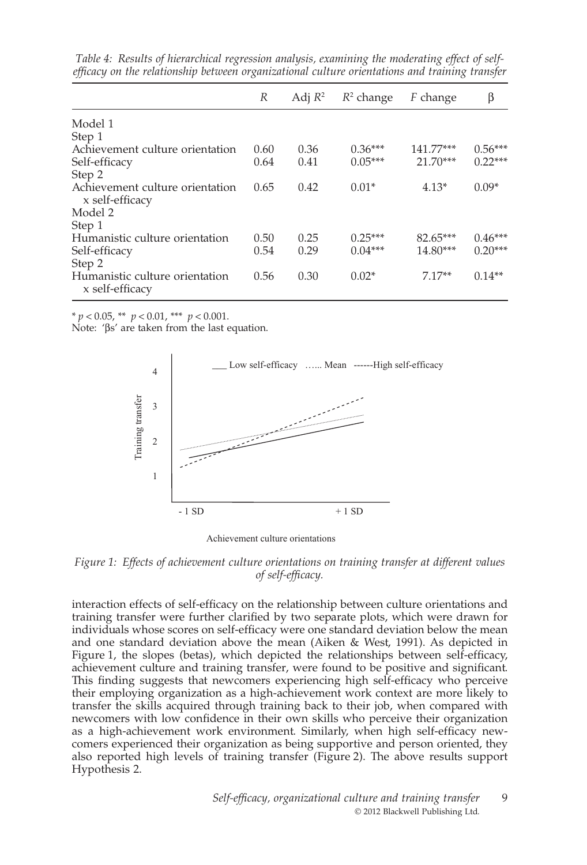|                                                    | R    | Adj $R^2$ | $R^2$ change | <i>F</i> change | β         |
|----------------------------------------------------|------|-----------|--------------|-----------------|-----------|
| Model 1                                            |      |           |              |                 |           |
| Step 1                                             |      |           |              |                 |           |
| Achievement culture orientation                    | 0.60 | 0.36      | $0.36***$    | 141.77***       | $0.56***$ |
| Self-efficacy                                      | 0.64 | 0.41      | $0.05***$    | $21.70***$      | $0.22***$ |
| Step 2                                             |      |           |              |                 |           |
| Achievement culture orientation<br>x self-efficacy | 0.65 | 0.42      | $0.01*$      | $4.13*$         | $0.09*$   |
| Model 2                                            |      |           |              |                 |           |
| Step 1                                             |      |           |              |                 |           |
| Humanistic culture orientation                     | 0.50 | 0.25      | $0.25***$    | $82.65***$      | $0.46***$ |
| Self-efficacy                                      | 0.54 | 0.29      | $0.04***$    | 14.80***        | $0.20***$ |
| Step 2                                             |      |           |              |                 |           |
| Humanistic culture orientation<br>x self-efficacy  | 0.56 | 0.30      | $0.02*$      | $7.17**$        | $0.14**$  |

*Table 4: Results of hierarchical regression analysis, examining the moderating effect of selfefficacy on the relationship between organizational culture orientations and training transfer*

\* *p* < 0.05, \*\* *p* < 0.01, \*\*\* *p* < 0.001.

Note: ' $\beta s'$  are taken from the last equation.



Achievement culture orientations

*Figure 1: Effects of achievement culture orientations on training transfer at different values of self-efficacy.*

interaction effects of self-efficacy on the relationship between culture orientations and training transfer were further clarified by two separate plots, which were drawn for individuals whose scores on self-efficacy were one standard deviation below the mean and one standard deviation above the mean (Aiken & West, 1991). As depicted in Figure 1, the slopes (betas), which depicted the relationships between self-efficacy, achievement culture and training transfer, were found to be positive and significant. This finding suggests that newcomers experiencing high self-efficacy who perceive their employing organization as a high-achievement work context are more likely to transfer the skills acquired through training back to their job, when compared with newcomers with low confidence in their own skills who perceive their organization as a high-achievement work environment. Similarly, when high self-efficacy newcomers experienced their organization as being supportive and person oriented, they also reported high levels of training transfer (Figure 2). The above results support Hypothesis 2.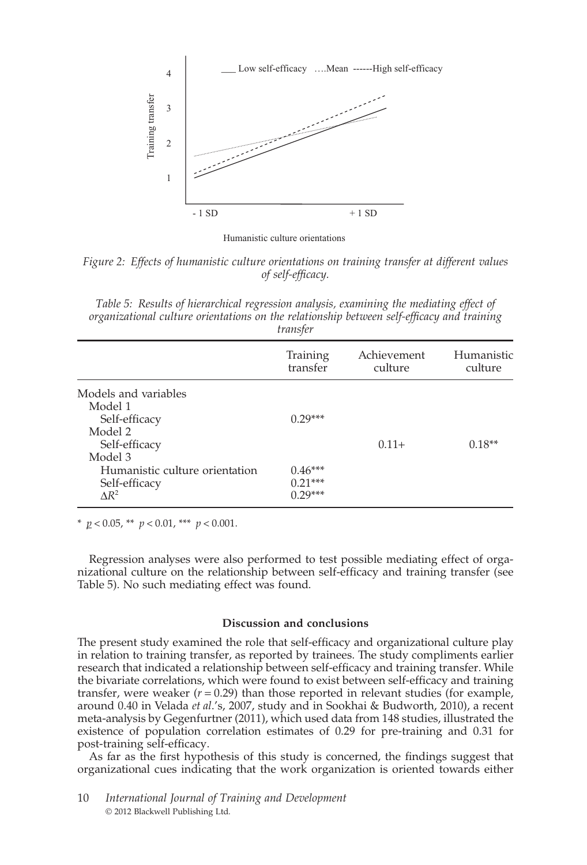

*Figure 2: Effects of humanistic culture orientations on training transfer at different values of self-efficacy.*

*Table 5: Results of hierarchical regression analysis, examining the mediating effect of organizational culture orientations on the relationship between self-efficacy and training transfer*

| Training transfer<br>$\mathfrak{Z}$<br>2                                                                                                                                                                                                                                                                                                                                                                                                                                                                                                                                                                                                                                                                                                                                                                                                                                      |        |                                     |                                                                                         |                       |
|-------------------------------------------------------------------------------------------------------------------------------------------------------------------------------------------------------------------------------------------------------------------------------------------------------------------------------------------------------------------------------------------------------------------------------------------------------------------------------------------------------------------------------------------------------------------------------------------------------------------------------------------------------------------------------------------------------------------------------------------------------------------------------------------------------------------------------------------------------------------------------|--------|-------------------------------------|-----------------------------------------------------------------------------------------|-----------------------|
| 1                                                                                                                                                                                                                                                                                                                                                                                                                                                                                                                                                                                                                                                                                                                                                                                                                                                                             |        |                                     |                                                                                         |                       |
|                                                                                                                                                                                                                                                                                                                                                                                                                                                                                                                                                                                                                                                                                                                                                                                                                                                                               | $-1SD$ |                                     | $+1SD$                                                                                  |                       |
|                                                                                                                                                                                                                                                                                                                                                                                                                                                                                                                                                                                                                                                                                                                                                                                                                                                                               |        | Humanistic culture orientations     |                                                                                         |                       |
| Figure 2: Effects of humanistic culture orientations on training transfer at different values                                                                                                                                                                                                                                                                                                                                                                                                                                                                                                                                                                                                                                                                                                                                                                                 |        | of self-efficacy.                   |                                                                                         |                       |
| organizational culture orientations on the relationship between self-efficacy and training                                                                                                                                                                                                                                                                                                                                                                                                                                                                                                                                                                                                                                                                                                                                                                                    |        | transfer                            | Table 5: Results of hierarchical regression analysis, examining the mediating effect of |                       |
|                                                                                                                                                                                                                                                                                                                                                                                                                                                                                                                                                                                                                                                                                                                                                                                                                                                                               |        | Training<br>transfer                | Achievement<br>culture                                                                  | Humanistic<br>culture |
| Models and variables<br>Model 1<br>Self-efficacy                                                                                                                                                                                                                                                                                                                                                                                                                                                                                                                                                                                                                                                                                                                                                                                                                              |        | $0.29***$                           |                                                                                         |                       |
| Model 2<br>Self-efficacy<br>Model 3                                                                                                                                                                                                                                                                                                                                                                                                                                                                                                                                                                                                                                                                                                                                                                                                                                           |        |                                     | $0.11+$                                                                                 | $0.18**$              |
| Humanistic culture orientation<br>Self-efficacy<br>$\Delta R^2$                                                                                                                                                                                                                                                                                                                                                                                                                                                                                                                                                                                                                                                                                                                                                                                                               |        | $0.46***$<br>$0.21***$<br>$0.29***$ |                                                                                         |                       |
| * $p < 0.05$ , ** $p < 0.01$ , *** $p < 0.001$ .                                                                                                                                                                                                                                                                                                                                                                                                                                                                                                                                                                                                                                                                                                                                                                                                                              |        |                                     |                                                                                         |                       |
| Regression analyses were also performed to test possible mediating effect of orga-<br>nizational culture on the relationship between self-efficacy and training transfer (see<br>Table 5). No such mediating effect was found.                                                                                                                                                                                                                                                                                                                                                                                                                                                                                                                                                                                                                                                |        |                                     |                                                                                         |                       |
|                                                                                                                                                                                                                                                                                                                                                                                                                                                                                                                                                                                                                                                                                                                                                                                                                                                                               |        | Discussion and conclusions          |                                                                                         |                       |
| The present study examined the role that self-efficacy and organizational culture play<br>in relation to training transfer, as reported by trainees. The study compliments earlier<br>research that indicated a relationship between self-efficacy and training transfer. While<br>the bivariate correlations, which were found to exist between self-efficacy and training<br>transfer, were weaker ( $r = 0.29$ ) than those reported in relevant studies (for example,<br>around 0.40 in Velada et al.'s, 2007, study and in Sookhai & Budworth, 2010), a recent<br>meta-analysis by Gegenfurtner (2011), which used data from 148 studies, illustrated the<br>existence of population correlation estimates of 0.29 for pre-training and 0.31 for<br>post-training self-efficacy.<br>As far as the first hypothesis of this study is concerned, the findings suggest that |        |                                     | organizational cues indicating that the work organization is oriented towards either    |                       |

#### **Discussion and conclusions**

<sup>10</sup> *International Journal of Training and Development* © 2012 Blackwell Publishing Ltd.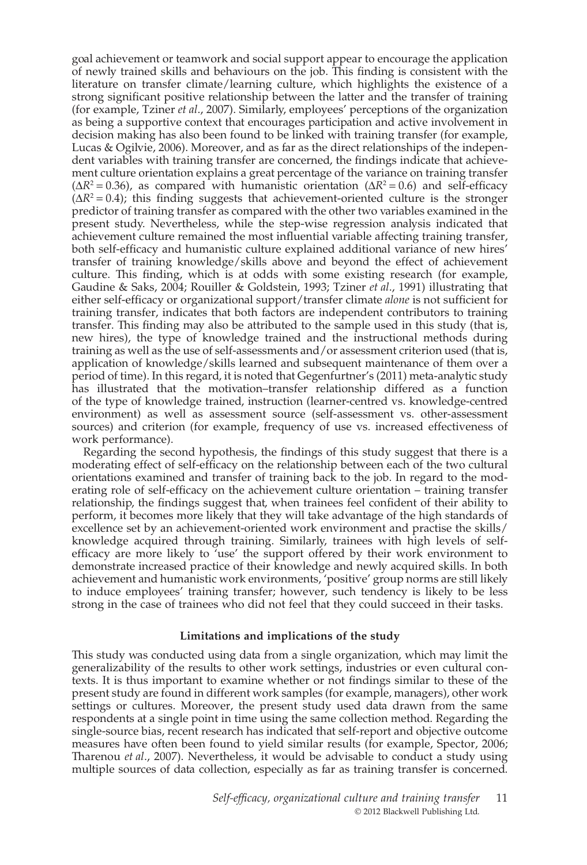goal achievement or teamwork and social support appear to encourage the application of newly trained skills and behaviours on the job. This finding is consistent with the literature on transfer climate/learning culture, which highlights the existence of a strong significant positive relationship between the latter and the transfer of training (for example, Tziner *et al*., 2007). Similarly, employees' perceptions of the organization as being a supportive context that encourages participation and active involvement in decision making has also been found to be linked with training transfer (for example, Lucas & Ogilvie, 2006). Moreover, and as far as the direct relationships of the independent variables with training transfer are concerned, the findings indicate that achievement culture orientation explains a great percentage of the variance on training transfer  $(\Delta R^2 = 0.36)$ , as compared with humanistic orientation  $(\Delta R^2 = 0.6)$  and self-efficacy  $(\Delta R^2 = 0.4)$ ; this finding suggests that achievement-oriented culture is the stronger predictor of training transfer as compared with the other two variables examined in the present study. Nevertheless, while the step-wise regression analysis indicated that achievement culture remained the most influential variable affecting training transfer, both self-efficacy and humanistic culture explained additional variance of new hires' transfer of training knowledge/skills above and beyond the effect of achievement culture. This finding, which is at odds with some existing research (for example, Gaudine & Saks, 2004; Rouiller & Goldstein, 1993; Tziner *et al*., 1991) illustrating that either self-efficacy or organizational support/transfer climate *alone* is not sufficient for training transfer, indicates that both factors are independent contributors to training transfer. This finding may also be attributed to the sample used in this study (that is, new hires), the type of knowledge trained and the instructional methods during training as well as the use of self-assessments and/or assessment criterion used (that is, application of knowledge/skills learned and subsequent maintenance of them over a period of time). In this regard, it is noted that Gegenfurtner's (2011) meta-analytic study has illustrated that the motivation–transfer relationship differed as a function of the type of knowledge trained, instruction (learner-centred vs. knowledge-centred environment) as well as assessment source (self-assessment vs. other-assessment sources) and criterion (for example, frequency of use vs. increased effectiveness of work performance).

Regarding the second hypothesis, the findings of this study suggest that there is a moderating effect of self-efficacy on the relationship between each of the two cultural orientations examined and transfer of training back to the job. In regard to the moderating role of self-efficacy on the achievement culture orientation – training transfer relationship, the findings suggest that, when trainees feel confident of their ability to perform, it becomes more likely that they will take advantage of the high standards of excellence set by an achievement-oriented work environment and practise the skills/ knowledge acquired through training. Similarly, trainees with high levels of selfefficacy are more likely to 'use' the support offered by their work environment to demonstrate increased practice of their knowledge and newly acquired skills. In both achievement and humanistic work environments, 'positive' group norms are still likely to induce employees' training transfer; however, such tendency is likely to be less strong in the case of trainees who did not feel that they could succeed in their tasks.

#### **Limitations and implications of the study**

This study was conducted using data from a single organization, which may limit the generalizability of the results to other work settings, industries or even cultural contexts. It is thus important to examine whether or not findings similar to these of the present study are found in different work samples (for example, managers), other work settings or cultures. Moreover, the present study used data drawn from the same respondents at a single point in time using the same collection method. Regarding the single-source bias, recent research has indicated that self-report and objective outcome measures have often been found to yield similar results (for example, Spector, 2006; Tharenou *et al*., 2007). Nevertheless, it would be advisable to conduct a study using multiple sources of data collection, especially as far as training transfer is concerned.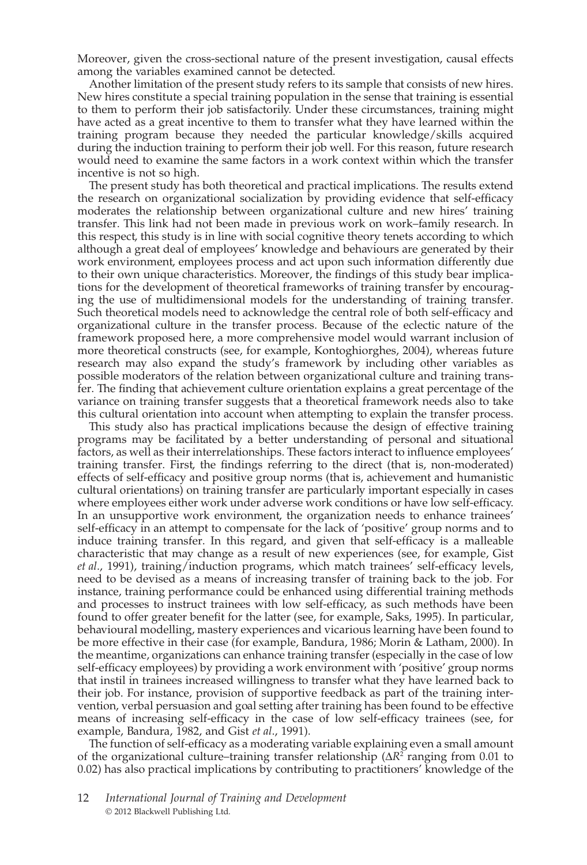Moreover, given the cross-sectional nature of the present investigation, causal effects among the variables examined cannot be detected.

Another limitation of the present study refers to its sample that consists of new hires. New hires constitute a special training population in the sense that training is essential to them to perform their job satisfactorily. Under these circumstances, training might have acted as a great incentive to them to transfer what they have learned within the training program because they needed the particular knowledge/skills acquired during the induction training to perform their job well. For this reason, future research would need to examine the same factors in a work context within which the transfer incentive is not so high.

The present study has both theoretical and practical implications. The results extend the research on organizational socialization by providing evidence that self-efficacy moderates the relationship between organizational culture and new hires' training transfer. This link had not been made in previous work on work–family research. In this respect, this study is in line with social cognitive theory tenets according to which although a great deal of employees' knowledge and behaviours are generated by their work environment, employees process and act upon such information differently due to their own unique characteristics. Moreover, the findings of this study bear implications for the development of theoretical frameworks of training transfer by encouraging the use of multidimensional models for the understanding of training transfer. Such theoretical models need to acknowledge the central role of both self-efficacy and organizational culture in the transfer process. Because of the eclectic nature of the framework proposed here, a more comprehensive model would warrant inclusion of more theoretical constructs (see, for example, Kontoghiorghes, 2004), whereas future research may also expand the study's framework by including other variables as possible moderators of the relation between organizational culture and training transfer. The finding that achievement culture orientation explains a great percentage of the variance on training transfer suggests that a theoretical framework needs also to take this cultural orientation into account when attempting to explain the transfer process.

This study also has practical implications because the design of effective training programs may be facilitated by a better understanding of personal and situational factors, as well as their interrelationships. These factors interact to influence employees' training transfer. First, the findings referring to the direct (that is, non-moderated) effects of self-efficacy and positive group norms (that is, achievement and humanistic cultural orientations) on training transfer are particularly important especially in cases where employees either work under adverse work conditions or have low self-efficacy. In an unsupportive work environment, the organization needs to enhance trainees' self-efficacy in an attempt to compensate for the lack of 'positive' group norms and to induce training transfer. In this regard, and given that self-efficacy is a malleable characteristic that may change as a result of new experiences (see, for example, Gist *et al*., 1991), training/induction programs, which match trainees' self-efficacy levels, need to be devised as a means of increasing transfer of training back to the job. For instance, training performance could be enhanced using differential training methods and processes to instruct trainees with low self-efficacy, as such methods have been found to offer greater benefit for the latter (see, for example, Saks, 1995). In particular, behavioural modelling, mastery experiences and vicarious learning have been found to be more effective in their case (for example, Bandura, 1986; Morin & Latham, 2000). In the meantime, organizations can enhance training transfer (especially in the case of low self-efficacy employees) by providing a work environment with 'positive' group norms that instil in trainees increased willingness to transfer what they have learned back to their job. For instance, provision of supportive feedback as part of the training intervention, verbal persuasion and goal setting after training has been found to be effective means of increasing self-efficacy in the case of low self-efficacy trainees (see, for example, Bandura, 1982, and Gist *et al*., 1991).

The function of self-efficacy as a moderating variable explaining even a small amount of the organizational culture–training transfer relationship  $(\Delta R^2$  ranging from 0.01 to 0.02) has also practical implications by contributing to practitioners' knowledge of the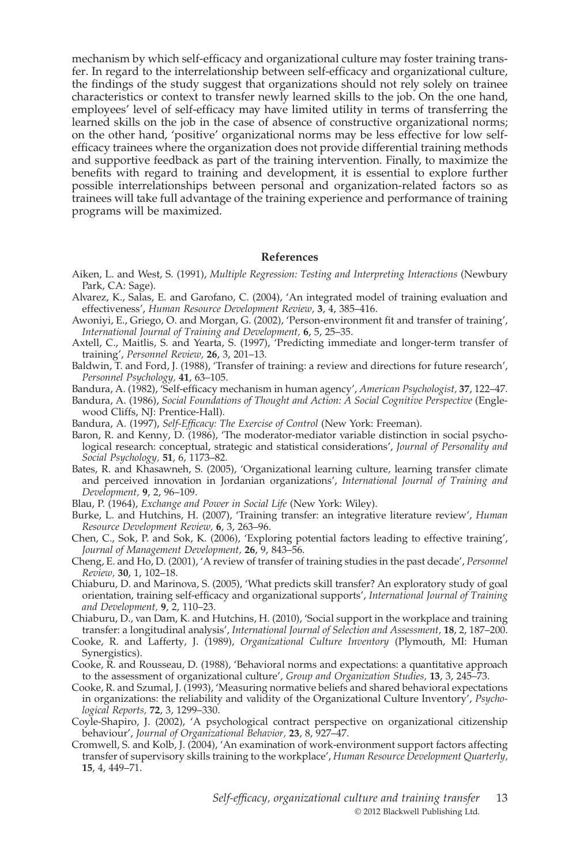mechanism by which self-efficacy and organizational culture may foster training transfer. In regard to the interrelationship between self-efficacy and organizational culture, the findings of the study suggest that organizations should not rely solely on trainee characteristics or context to transfer newly learned skills to the job. On the one hand, employees' level of self-efficacy may have limited utility in terms of transferring the learned skills on the job in the case of absence of constructive organizational norms; on the other hand, 'positive' organizational norms may be less effective for low selfefficacy trainees where the organization does not provide differential training methods and supportive feedback as part of the training intervention. Finally, to maximize the benefits with regard to training and development, it is essential to explore further possible interrelationships between personal and organization-related factors so as trainees will take full advantage of the training experience and performance of training programs will be maximized.

#### **References**

- Aiken, L. and West, S. (1991), *Multiple Regression: Testing and Interpreting Interactions* (Newbury Park, CA: Sage).
- Alvarez, K., Salas, E. and Garofano, C. (2004), 'An integrated model of training evaluation and effectiveness', *Human Resource Development Review,* **3**, 4, 385–416.
- Awoniyi, E., Griego, O. and Morgan, G. (2002), 'Person-environment fit and transfer of training', *International Journal of Training and Development,* **6**, 5, 25–35.
- Axtell, C., Maitlis, S. and Yearta, S. (1997), 'Predicting immediate and longer-term transfer of training', *Personnel Review,* **26**, 3, 201–13.
- Baldwin, T. and Ford, J. (1988), 'Transfer of training: a review and directions for future research', *Personnel Psychology,* **41**, 63–105.
- Bandura, A. (1982), 'Self-efficacy mechanism in human agency', *American Psychologist,* **37**, 122–47.
- Bandura, A. (1986), *Social Foundations of Thought and Action: A Social Cognitive Perspective* (Englewood Cliffs, NJ: Prentice-Hall).
- Bandura, A. (1997), *Self-Efficacy: The Exercise of Control* (New York: Freeman).
- Baron, R. and Kenny, D. (1986), 'The moderator-mediator variable distinction in social psychological research: conceptual, strategic and statistical considerations', *Journal of Personality and Social Psychology,* **51**, 6, 1173–82.
- Bates, R. and Khasawneh, S. (2005), 'Organizational learning culture, learning transfer climate and perceived innovation in Jordanian organizations', *International Journal of Training and Development,* **9**, 2, 96–109.
- Blau, P. (1964), *Exchange and Power in Social Life* (New York: Wiley).
- Burke, L. and Hutchins, H. (2007), 'Training transfer: an integrative literature review', *Human Resource Development Review,* **6**, 3, 263–96.
- Chen, C., Sok, P. and Sok, K. (2006), 'Exploring potential factors leading to effective training', *Journal of Management Development,* **26**, 9, 843–56.
- Cheng, E. and Ho, D. (2001), 'A review of transfer of training studies in the past decade', *Personnel Review,* **30**, 1, 102–18.
- Chiaburu, D. and Marinova, S. (2005), 'What predicts skill transfer? An exploratory study of goal orientation, training self-efficacy and organizational supports', *International Journal of Training and Development,* **9**, 2, 110–23.
- Chiaburu, D., van Dam, K. and Hutchins, H. (2010), 'Social support in the workplace and training transfer: a longitudinal analysis', *International Journal of Selection and Assessment,* **18**, 2, 187–200.
- Cooke, R. and Lafferty, J. (1989), *Organizational Culture Inventory* (Plymouth, MI: Human Synergistics).
- Cooke, R. and Rousseau, D. (1988), 'Behavioral norms and expectations: a quantitative approach to the assessment of organizational culture', *Group and Organization Studies,* **13**, 3, 245–73.
- Cooke, R. and Szumal, J. (1993), 'Measuring normative beliefs and shared behavioral expectations in organizations: the reliability and validity of the Organizational Culture Inventory', *Psychological Reports,* **72**, 3, 1299–330.
- Coyle-Shapiro, J. (2002), 'A psychological contract perspective on organizational citizenship behaviour', *Journal of Organizational Behavior,* **23**, 8, 927–47.
- Cromwell, S. and Kolb, J. (2004), 'An examination of work-environment support factors affecting transfer of supervisory skills training to the workplace', *Human Resource Development Quarterly,* **15**, 4, 449–71.

*Self-efficacy, organizational culture and training transfer* 13 © 2012 Blackwell Publishing Ltd.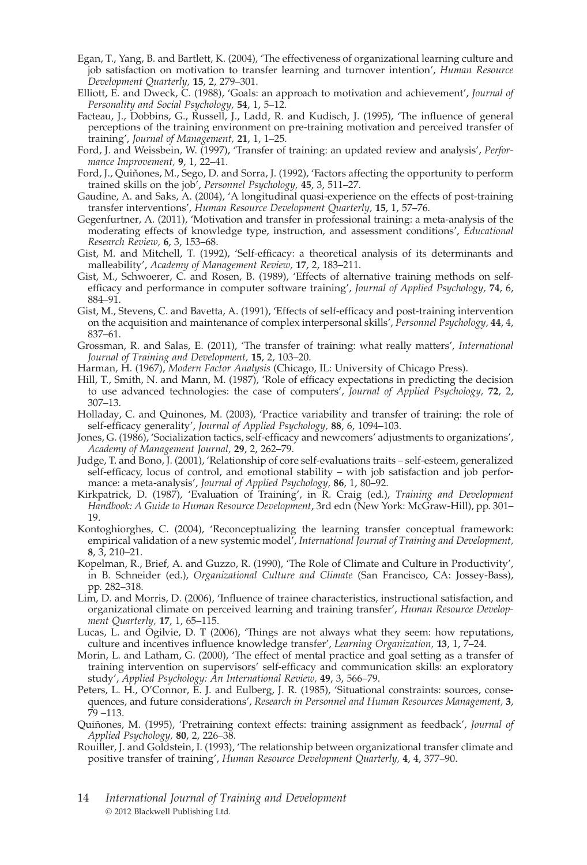- Egan, T., Yang, B. and Bartlett, K. (2004), 'The effectiveness of organizational learning culture and job satisfaction on motivation to transfer learning and turnover intention', *Human Resource Development Quarterly,* **15**, 2, 279–301.
- Elliott, E. and Dweck, C. (1988), 'Goals: an approach to motivation and achievement', *Journal of Personality and Social Psychology,* **54**, 1, 5–12.
- Facteau, J., Dobbins, G., Russell, J., Ladd, R. and Kudisch, J. (1995), 'The influence of general perceptions of the training environment on pre-training motivation and perceived transfer of training', *Journal of Management,* **21**, 1, 1–25.
- Ford, J. and Weissbein, W. (1997), 'Transfer of training: an updated review and analysis', *Performance Improvement,* **9**, 1, 22–41.
- Ford, J., Quiñones, M., Sego, D. and Sorra, J. (1992), 'Factors affecting the opportunity to perform trained skills on the job', *Personnel Psychology,* **45**, 3, 511–27.
- Gaudine, A. and Saks, A. (2004), 'A longitudinal quasi-experience on the effects of post-training transfer interventions', *Human Resource Development Quarterly,* **15**, 1, 57–76.
- Gegenfurtner, A. (2011), 'Motivation and transfer in professional training: a meta-analysis of the moderating effects of knowledge type, instruction, and assessment conditions', *Educational Research Review,* **6**, 3, 153–68.
- Gist, M. and Mitchell, T. (1992), 'Self-efficacy: a theoretical analysis of its determinants and malleability', *Academy of Management Review,* **17**, 2, 183–211.
- Gist, M., Schwoerer, C. and Rosen, B. (1989), 'Effects of alternative training methods on selfefficacy and performance in computer software training', *Journal of Applied Psychology,* **74**, 6, 884–91.
- Gist, M., Stevens, C. and Bavetta, A. (1991), 'Effects of self-efficacy and post-training intervention on the acquisition and maintenance of complex interpersonal skills', *Personnel Psychology,* **44**, 4, 837–61.
- Grossman, R. and Salas, E. (2011), 'The transfer of training: what really matters', *International Journal of Training and Development,* **15**, 2, 103–20.
- Harman, H. (1967), *Modern Factor Analysis* (Chicago, IL: University of Chicago Press).
- Hill, T., Smith, N. and Mann, M. (1987), 'Role of efficacy expectations in predicting the decision to use advanced technologies: the case of computers', *Journal of Applied Psychology,* **72**, 2, 307–13.
- Holladay, C. and Quinones, M. (2003), 'Practice variability and transfer of training: the role of self-efficacy generality', *Journal of Applied Psychology,* **88**, 6, 1094–103.
- Jones, G. (1986), 'Socialization tactics, self-efficacy and newcomers' adjustments to organizations', *Academy of Management Journal,* **29**, 2, 262–79.
- Judge, T. and Bono, J. (2001), 'Relationship of core self-evaluations traits self-esteem, generalized self-efficacy, locus of control, and emotional stability – with job satisfaction and job performance: a meta-analysis', *Journal of Applied Psychology,* **86**, 1, 80–92.
- Kirkpatrick, D. (1987), 'Evaluation of Training', in R. Craig (ed.), *Training and Development Handbook: A Guide to Human Resource Development*, 3rd edn (New York: McGraw-Hill), pp. 301– 19.
- Kontoghiorghes, C. (2004), 'Reconceptualizing the learning transfer conceptual framework: empirical validation of a new systemic model', *International Journal of Training and Development,* **8**, 3, 210–21.
- Kopelman, R., Brief, A. and Guzzo, R. (1990), 'The Role of Climate and Culture in Productivity', in B. Schneider (ed.), *Organizational Culture and Climate* (San Francisco, CA: Jossey-Bass), pp. 282–318.
- Lim, D. and Morris, D. (2006), 'Influence of trainee characteristics, instructional satisfaction, and organizational climate on perceived learning and training transfer', *Human Resource Development Quarterly,* **17**, 1, 65–115.
- Lucas, L. and Ogilvie, D. T (2006), 'Things are not always what they seem: how reputations, culture and incentives influence knowledge transfer', *Learning Organization,* **13**, 1, 7–24.
- Morin, L. and Latham, G. (2000), 'The effect of mental practice and goal setting as a transfer of training intervention on supervisors' self-efficacy and communication skills: an exploratory study', *Applied Psychology: An International Review,* **49**, 3, 566–79.
- Peters, L. H., O'Connor, E. J. and Eulberg, J. R. (1985), 'Situational constraints: sources, consequences, and future considerations', *Research in Personnel and Human Resources Management,* **3**, 79 –113.
- Quiñones, M. (1995), 'Pretraining context effects: training assignment as feedback', *Journal of Applied Psychology,* **80**, 2, 226–38.
- Rouiller, J. and Goldstein, I. (1993), 'The relationship between organizational transfer climate and positive transfer of training', *Human Resource Development Quarterly,* **4**, 4, 377–90.
- 14 *International Journal of Training and Development* © 2012 Blackwell Publishing Ltd.